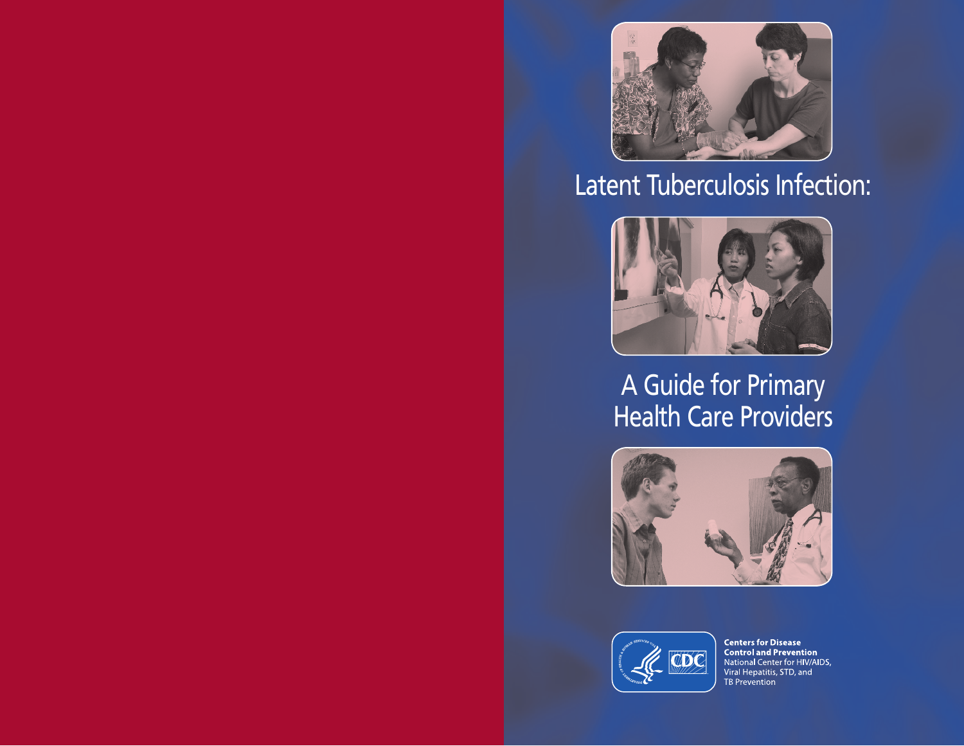

# Latent Tuberculosis Infection:



## A Guide for Primary Health Care Providers





**Centers for Disease<br>Control and Prevention**<br>National Center for HIV/AIDS,<br>Viral Hepatitis, STD, and TB Prevention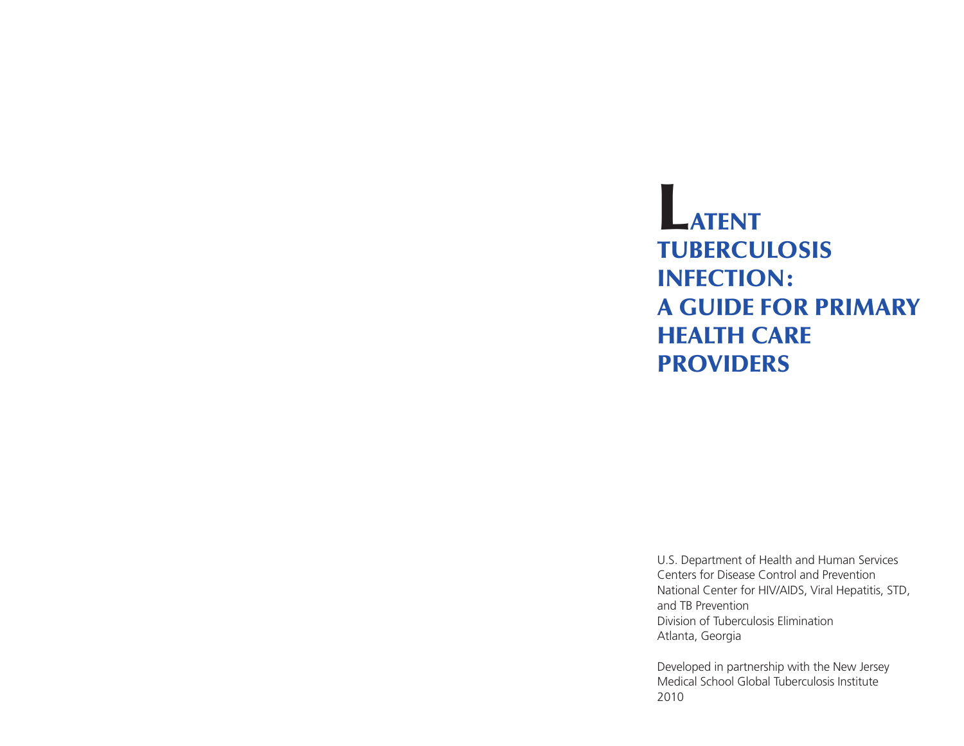## LATENT TUBERCULOSIS Infection: A Guide for Primary HEALTH CARE **PROVIDERS**

U.S. Department of Health and Human Services Centers for Disease Control and Prevention National Center for HIV/AIDS, Viral Hepatitis, STD, and TB Prevention Division of Tuberculosis Elimination Atlanta, Georgia

Developed in partnership with the New Jersey Medical School Global Tuberculosis Institute 2010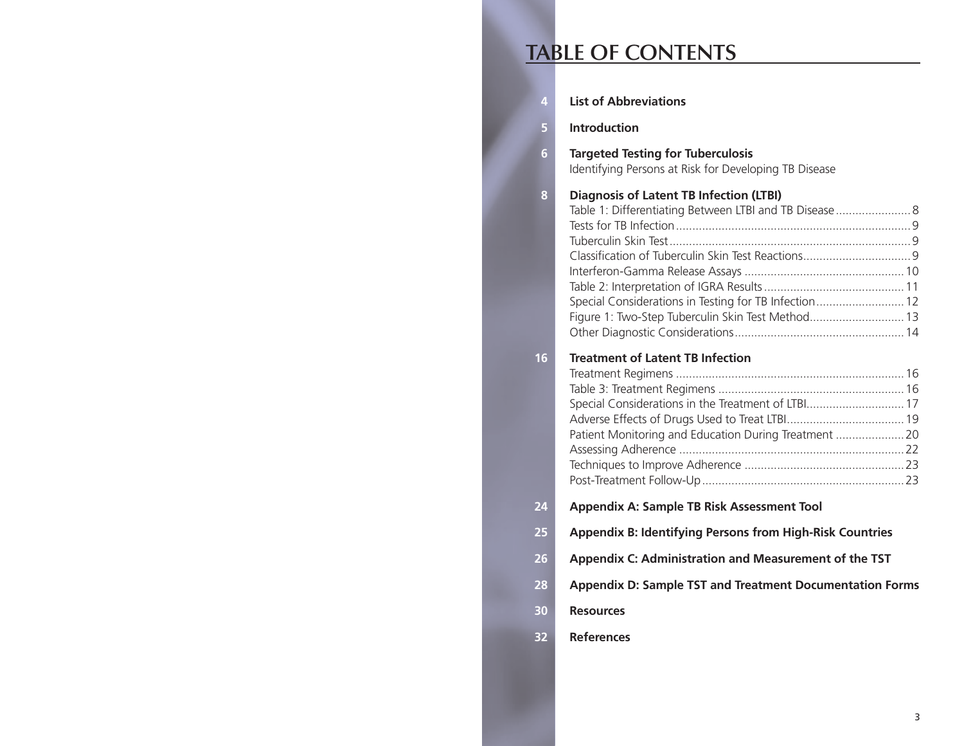### **TABLE OF CONTENTS**

| 4  | <b>List of Abbreviations</b>                                                                                                                                                                                           |  |  |
|----|------------------------------------------------------------------------------------------------------------------------------------------------------------------------------------------------------------------------|--|--|
| 5  | <b>Introduction</b>                                                                                                                                                                                                    |  |  |
| 6  | <b>Targeted Testing for Tuberculosis</b><br>Identifying Persons at Risk for Developing TB Disease                                                                                                                      |  |  |
| 8  | <b>Diagnosis of Latent TB Infection (LTBI)</b><br>Table 1: Differentiating Between LTBI and TB Disease 8<br>Special Considerations in Testing for TB Infection 12<br>Figure 1: Two-Step Tuberculin Skin Test Method 13 |  |  |
| 16 | <b>Treatment of Latent TB Infection</b><br>Special Considerations in the Treatment of LTBI 17<br>Patient Monitoring and Education During Treatment 20                                                                  |  |  |
| 24 | Appendix A: Sample TB Risk Assessment Tool                                                                                                                                                                             |  |  |
| 25 | <b>Appendix B: Identifying Persons from High-Risk Countries</b>                                                                                                                                                        |  |  |
| 26 | Appendix C: Administration and Measurement of the TST                                                                                                                                                                  |  |  |
| 28 | <b>Appendix D: Sample TST and Treatment Documentation Forms</b>                                                                                                                                                        |  |  |
| 30 | <b>Resources</b>                                                                                                                                                                                                       |  |  |
| 32 | <b>References</b>                                                                                                                                                                                                      |  |  |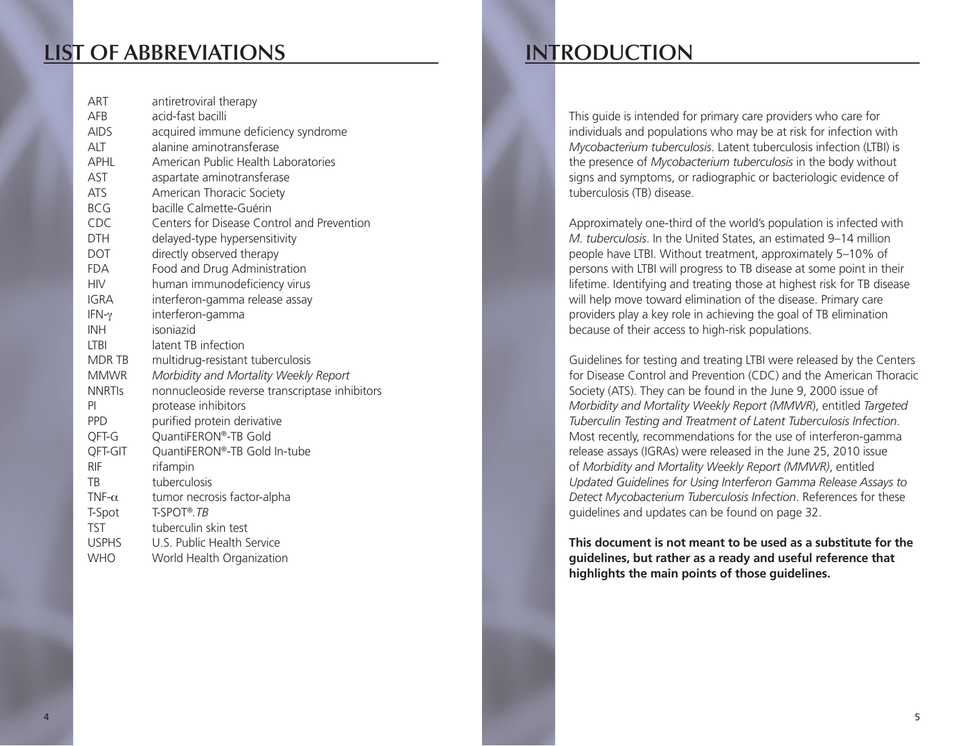### **List of Abbreviations**

| ART           | antiretroviral therapy                         |
|---------------|------------------------------------------------|
| <b>AFB</b>    | acid-fast bacilli                              |
| <b>AIDS</b>   | acquired immune deficiency syndrome            |
| ALT           | alanine aminotransferase                       |
| APHL          | American Public Health Laboratories            |
| AST           | aspartate aminotransferase                     |
| <b>ATS</b>    | American Thoracic Society                      |
| <b>BCG</b>    | bacille Calmette-Guérin                        |
| CDC           | Centers for Disease Control and Prevention     |
| <b>DTH</b>    | delayed-type hypersensitivity                  |
| <b>DOT</b>    | directly observed therapy                      |
| <b>FDA</b>    | Food and Drug Administration                   |
| <b>HIV</b>    | human immunodeficiency virus                   |
| <b>IGRA</b>   | interferon-gamma release assay                 |
| IFN- $\gamma$ | interferon-gamma                               |
| <b>INH</b>    | isoniazid                                      |
| <b>LTBI</b>   | latent TB infection                            |
| MDR TB        | multidrug-resistant tuberculosis               |
| <b>MMWR</b>   | Morbidity and Mortality Weekly Report          |
| <b>NNRTIS</b> | nonnucleoside reverse transcriptase inhibitors |
| PI            | protease inhibitors                            |
| <b>PPD</b>    | purified protein derivative                    |
| QFT-G         | QuantiFERON®-TB Gold                           |
| QFT-GIT       | QuantiFERON®-TB Gold In-tube                   |
| <b>RIF</b>    | rifampin                                       |
| TB            | tuberculosis                                   |
| TNF- $\alpha$ | tumor necrosis factor-alpha                    |
| T-Spot        | T-SPOT®.TB                                     |
| <b>TST</b>    | tuberculin skin test                           |
| <b>USPHS</b>  | U.S. Public Health Service                     |
| <b>WHO</b>    | World Health Organization                      |

### **Introduction**

This guide is intended for primary care providers who care for individuals and populations who may be at risk for infection with *Mycobacterium tuberculosis*. Latent tuberculosis infection (LTBI) is the presence of *Mycobacterium tuberculosis* in the body without signs and symptoms, or radiographic or bacteriologic evidence of tuberculosis (TB) disease.

Approximately one-third of the world's population is infected with *M. tuberculosis*. In the United States, an estimated 9–14 million people have LTBI. Without treatment, approximately 5–10% of persons with LTBI will progress to TB disease at some point in their lifetime. Identifying and treating those at highest risk for TB disease will help move toward elimination of the disease. Primary care providers play a key role in achieving the goal of TB elimination because of their access to high-risk populations.

Guidelines for testing and treating LTBI were released by the Centers for Disease Control and Prevention (CDC) and the American Thoracic Society (ATS). They can be found in the June 9, 2000 issue of *Morbidity and Mortality Weekly Report (MMWR*), entitled *Targeted Tuberculin Testing and Treatment of Latent Tuberculosis Infection*. Most recently, recommendations for the use of interferon-gamma release assays (IGRAs) were released in the June 25, 2010 issue of *Morbidity and Mortality Weekly Report (MMWR)*, entitled *Updated Guidelines for Using Interferon Gamma Release Assays to Detect Mycobacterium Tuberculosis Infection*. References for these guidelines and updates can be found on page 32.

**This document is not meant to be used as a substitute for the guidelines, but rather as a ready and useful reference that highlights the main points of those guidelines.**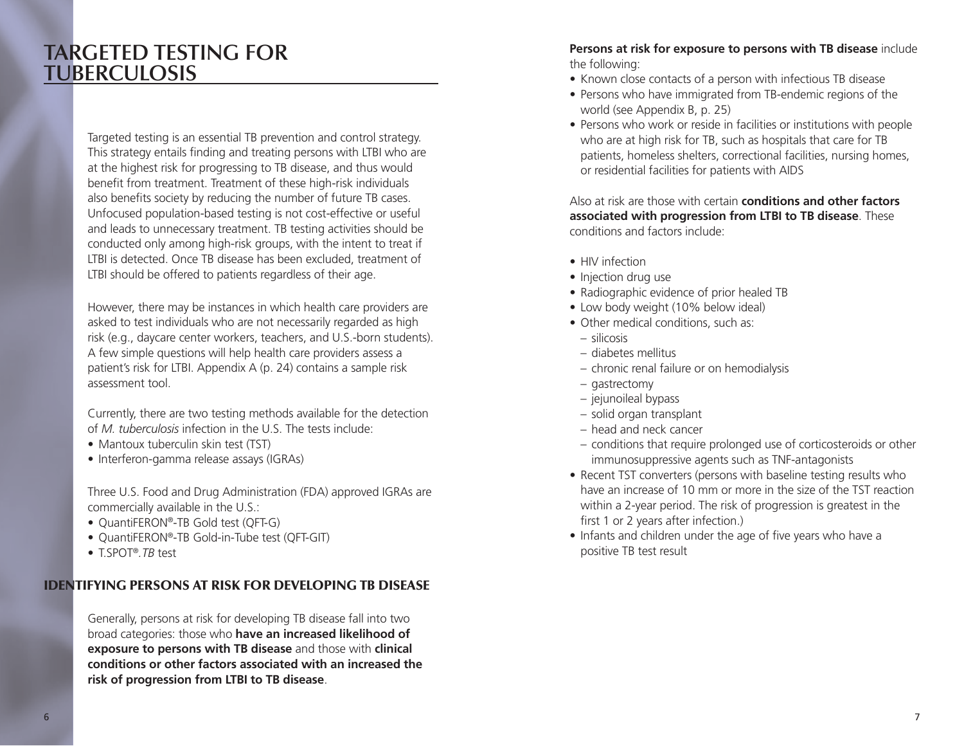### **Targeted Testing for Tuberculosis**

Targeted testing is an essential TB prevention and control strategy. This strategy entails finding and treating persons with LTBI who are at the highest risk for progressing to TB disease, and thus would benefit from treatment. Treatment of these high-risk individuals also benefits society by reducing the number of future TB cases. Unfocused population-based testing is not cost-effective or useful and leads to unnecessary treatment. TB testing activities should be conducted only among high-risk groups, with the intent to treat if LTBI is detected. Once TB disease has been excluded, treatment of LTBI should be offered to patients regardless of their age.

However, there may be instances in which health care providers are asked to test individuals who are not necessarily regarded as high risk (e.g., daycare center workers, teachers, and U.S.-born students). A few simple questions will help health care providers assess a patient's risk for LTBI. Appendix A (p. 24) contains a sample risk assessment tool.

Currently, there are two testing methods available for the detection of *M. tuberculosis* infection in the U.S. The tests include:

- Mantoux tuberculin skin test (TST)
- Interferon-gamma release assays (IGRAs)

Three U.S. Food and Drug Administration (FDA) approved IGRAs are commercially available in the U.S.:

- QuantiFERON®-TB Gold test (QFT-G)
- • QuantiFERON®-TB Gold-in-Tube test (QFT-GIT)
- • T.SPOT®*.TB* test

### Identifying Persons at Risk for Developing TB Disease

Generally, persons at risk for developing TB disease fall into two broad categories: those who **have an increased likelihood of exposure to persons with TB disease** and those with **clinical conditions or other factors associated with an increased the risk of progression from LTBI to TB disease**.

#### **Persons at risk for exposure to persons with TB disease** include the following:

- Known close contacts of a person with infectious TB disease
- Persons who have immigrated from TB-endemic regions of the world (see Appendix B, p. 25)
- Persons who work or reside in facilities or institutions with people who are at high risk for TB, such as hospitals that care for TB patients, homeless shelters, correctional facilities, nursing homes, or residential facilities for patients with AIDS

Also at risk are those with certain **conditions and other factors associated with progression from LTBI to TB disease**. These conditions and factors include:

- HIV infection
- Injection drug use
- Radiographic evidence of prior healed TB
- Low body weight (10% below ideal)
- Other medical conditions, such as:
- silicosis
- diabetes mellitus
- chronic renal failure or on hemodialysis
- gastrectomy
- jejunoileal bypass
- solid organ transplant
- head and neck cancer
- conditions that require prolonged use of corticosteroids or other immunosuppressive agents such as TNF-antagonists
- Recent TST converters (persons with baseline testing results who have an increase of 10 mm or more in the size of the TST reaction within a 2-year period. The risk of progression is greatest in the first 1 or 2 years after infection.)
- Infants and children under the age of five years who have a positive TB test result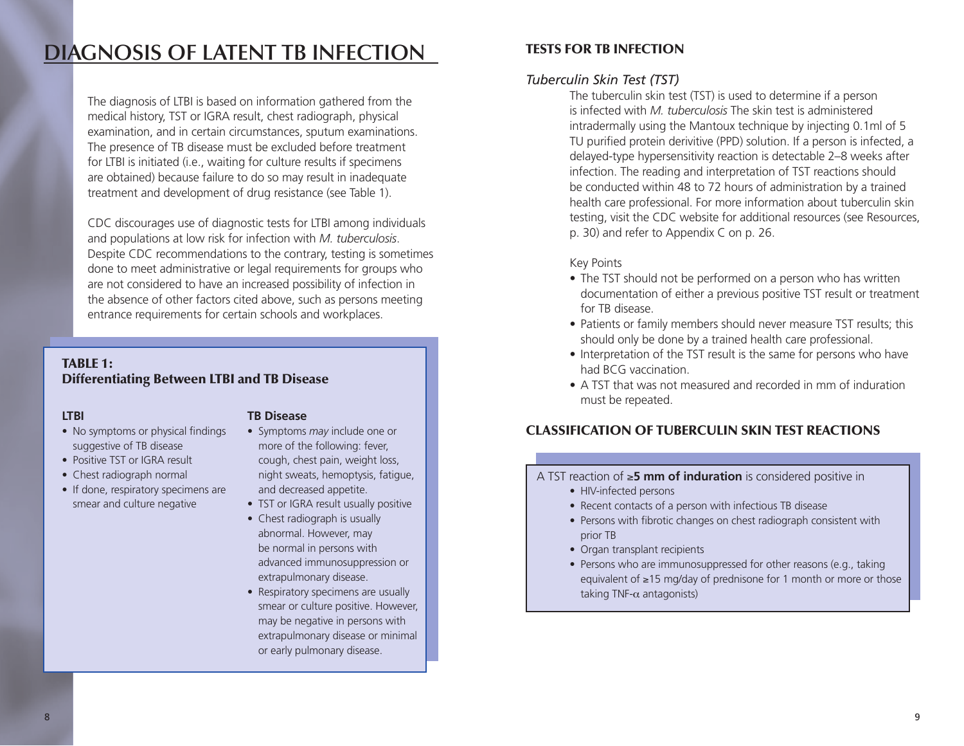### **Diagnosis of Latent TB Infection**

The diagnosis of LTBI is based on information gathered from the medical history, TST or IGRA result, chest radiograph, physical examination, and in certain circumstances, sputum examinations. The presence of TB disease must be excluded before treatment for LTBI is initiated (i.e., waiting for culture results if specimens are obtained) because failure to do so may result in inadequate treatment and development of drug resistance (see Table 1).

CDC discourages use of diagnostic tests for LTBI among individuals and populations at low risk for infection with *M. tuberculosis*. Despite CDC recommendations to the contrary, testing is sometimes done to meet administrative or legal requirements for groups who are not considered to have an increased possibility of infection in the absence of other factors cited above, such as persons meeting entrance requirements for certain schools and workplaces.

### TABIF<sub>1:</sub> Differentiating Between LTBI and TB Disease

### **LTBI**

- No symptoms or physical findings suggestive of TB disease
- Positive TST or IGRA result
- Chest radiograph normal
- If done, respiratory specimens are smear and culture negative

### **TB Disease**

- Symptoms *may* include one or more of the following: fever, cough, chest pain, weight loss, night sweats, hemoptysis, fatigue, and decreased appetite.
- TST or IGRA result usually positive
- Chest radiograph is usually abnormal. However, may be normal in persons with advanced immunosuppression or extrapulmonary disease.
- Respiratory specimens are usually smear or culture positive. However, may be negative in persons with extrapulmonary disease or minimal or early pulmonary disease.

### Tests for TB Infection

### *Tuberculin Skin Test (TST)*

The tuberculin skin test (TST) is used to determine if a person is infected with *M. tuberculosis* The skin test is administered intradermally using the Mantoux technique by injecting 0.1ml of 5 TU purified protein derivitive (PPD) solution. If a person is infected, a delayed-type hypersensitivity reaction is detectable 2–8 weeks after infection. The reading and interpretation of TST reactions should be conducted within 48 to 72 hours of administration by a trained health care professional. For more information about tuberculin skin testing, visit the CDC website for additional resources (see Resources, p. 30) and refer to Appendix C on p. 26.

### Key Points

- The TST should not be performed on a person who has written documentation of either a previous positive TST result or treatment for TB disease.
- Patients or family members should never measure TST results; this should only be done by a trained health care professional.
- Interpretation of the TST result is the same for persons who have had BCG vaccination.
- A TST that was not measured and recorded in mm of induration must be repeated.

### Classification of Tuberculin Skin Test Reactions

### A TST reaction of ≥**5 mm of induration** is considered positive in

- HIV-infected persons
- Recent contacts of a person with infectious TB disease
- Persons with fibrotic changes on chest radiograph consistent with prior TB
- Organ transplant recipients
- Persons who are immunosuppressed for other reasons (e.g., taking equivalent of ≥15 mg/day of prednisone for 1 month or more or those taking TNF- $\alpha$  antagonists)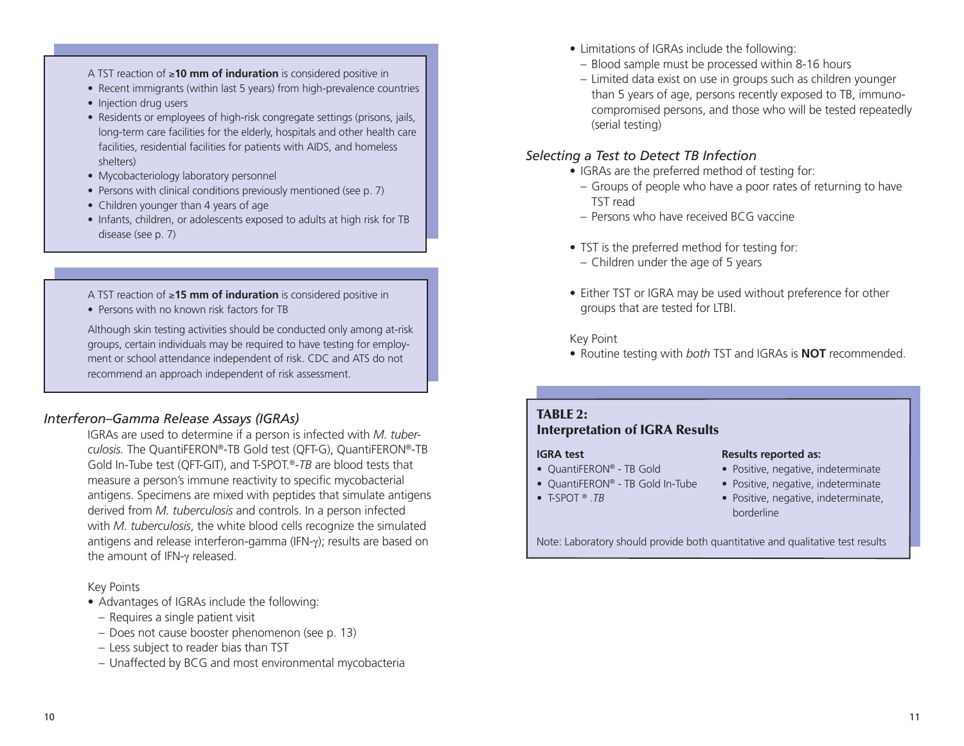#### A TST reaction of ≥**10 mm of induration** is considered positive in

- Recent immigrants (within last 5 years) from high-prevalence countries
- Injection drug users
- Residents or employees of high-risk congregate settings (prisons, jails, long-term care facilities for the elderly, hospitals and other health care facilities, residential facilities for patients with AIDS, and homeless shelters)
- Mycobacteriology laboratory personnel
- Persons with clinical conditions previously mentioned (see p. 7)
- Children younger than 4 years of age
- Infants, children, or adolescents exposed to adults at high risk for TB disease (see p. 7)
- A TST reaction of ≥**15 mm of induration** is considered positive in
- Persons with no known risk factors for TB

Although skin testing activities should be conducted only among at-risk groups, certain individuals may be required to have testing for employment or school attendance independent of risk. CDC and ATS do not recommend an approach independent of risk assessment.

### *Interferon–Gamma Release Assays (IGRAs)*

IGRAs are used to determine if a person is infected with *M. tuber*culosis. The QuantiFERON®-TB Gold test (QFT-G), QuantiFERON®-TB Gold In-Tube test (QFT-GIT), and T-SPOT.®-*TB* are blood tests that measure a person's immune reactivity to specific mycobacterial antigens. Specimens are mixed with peptides that simulate antigens derived from *M. tuberculosis* and controls. In a person infected with *M. tuberculosis*, the white blood cells recognize the simulated antigens and release interferon-gamma (IFN-γ); results are based on the amount of IFN-γ released.

Key Points

- Advantages of IGRAs include the following:
- Requires a single patient visit
- Does not cause booster phenomenon (see p. 13)
- Less subject to reader bias than TST
- Unaffected by BCG and most environmental mycobacteria
- Limitations of IGRAs include the following:
	- Blood sample must be processed within 8-16 hours
- Limited data exist on use in groups such as children younger than 5 years of age, persons recently exposed to TB, immunocompromised persons, and those who will be tested repeatedly (serial testing)

### *Selecting a Test to Detect TB Infection*

- IGRAs are the preferred method of testing for:
	- Groups of people who have a poor rates of returning to have TST read
	- Persons who have received BCG vaccine
- TST is the preferred method for testing for:
	- Children under the age of 5 years
- Either TST or IGRA may be used without preference for other groups that are tested for LTBI.

Key Point

• Routine testing with *both* TST and IGRAs is **NOT** recommended.

#### TABLE 2: Interpretation of IGRA Results

#### **IGRA test**

- QuantiFERON® TB Gold
- QuantiFERON® TB Gold In-Tube
- • T-SPOT ® .*TB*

#### **Results reported as:**

- Positive, negative, indeterminate
- Positive, negative, indeterminate
- Positive, negative, indeterminate, borderline

Note: Laboratory should provide both quantitative and qualitative test results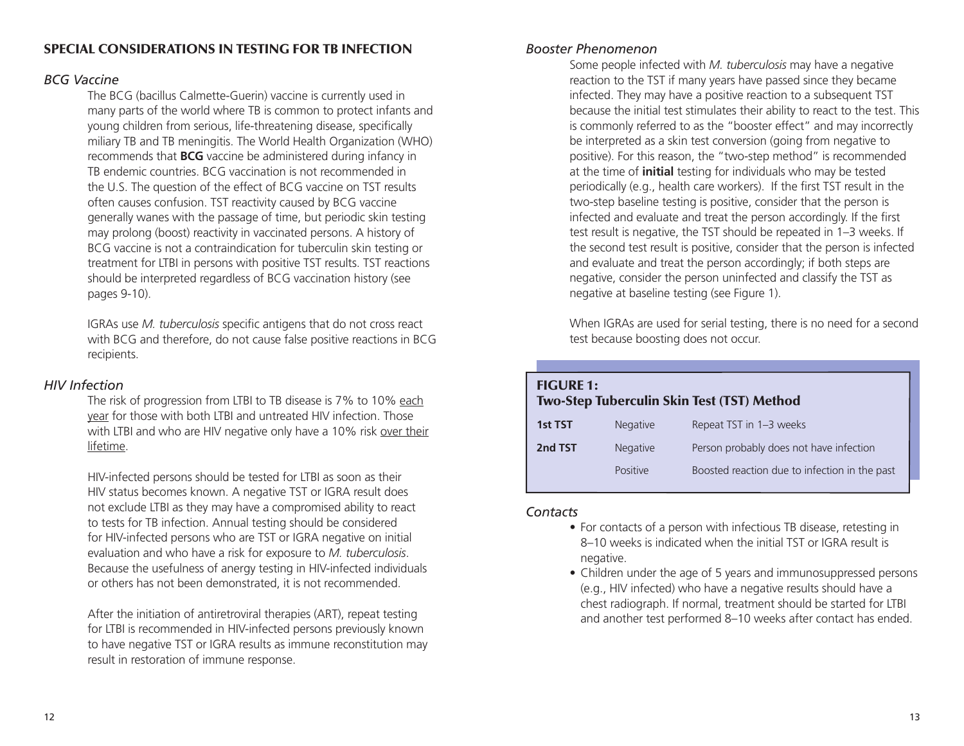### Special Considerations in Testing for TB Infection

### *BCG Vaccine*

The BCG (bacillus Calmette-Guerin) vaccine is currently used in many parts of the world where TB is common to protect infants and young children from serious, life-threatening disease, specifically miliary TB and TB meningitis. The World Health Organization (WHO) recommends that **BCG** vaccine be administered during infancy in TB endemic countries. BCG vaccination is not recommended in the U.S. The question of the effect of BCG vaccine on TST results often causes confusion. TST reactivity caused by BCG vaccine generally wanes with the passage of time, but periodic skin testing may prolong (boost) reactivity in vaccinated persons. A history of BCG vaccine is not a contraindication for tuberculin skin testing or treatment for LTBI in persons with positive TST results. TST reactions should be interpreted regardless of BCG vaccination history (see pages 9-10).

IGRAs use *M. tuberculosis* specific antigens that do not cross react with BCG and therefore, do not cause false positive reactions in BCG recipients.

### *HIV Infection*

The risk of progression from LTBI to TB disease is 7% to 10% each year for those with both LTBI and untreated HIV infection. Those with LTBI and who are HIV negative only have a 10% risk over their lifetime.

HIV-infected persons should be tested for LTBI as soon as their HIV status becomes known. A negative TST or IGRA result does not exclude LTBI as they may have a compromised ability to react to tests for TB infection. Annual testing should be considered for HIV-infected persons who are TST or IGRA negative on initial evaluation and who have a risk for exposure to *M. tuberculosis*. Because the usefulness of anergy testing in HIV-infected individuals or others has not been demonstrated, it is not recommended.

After the initiation of antiretroviral therapies (ART), repeat testing for LTBI is recommended in HIV-infected persons previously known to have negative TST or IGRA results as immune reconstitution may result in restoration of immune response.

### *Booster Phenomenon*

Some people infected with *M. tuberculosis* may have a negative reaction to the TST if many years have passed since they became infected. They may have a positive reaction to a subsequent TST because the initial test stimulates their ability to react to the test. This is commonly referred to as the "booster effect" and may incorrectly be interpreted as a skin test conversion (going from negative to positive). For this reason, the "two-step method" is recommended at the time of **initial** testing for individuals who may be tested periodically (e.g., health care workers). If the first TST result in the two-step baseline testing is positive, consider that the person is infected and evaluate and treat the person accordingly. If the first test result is negative, the TST should be repeated in 1–3 weeks. If the second test result is positive, consider that the person is infected and evaluate and treat the person accordingly; if both steps are negative, consider the person uninfected and classify the TST as negative at baseline testing (see Figure 1).

When IGRAs are used for serial testing, there is no need for a second test because boosting does not occur.

| <b>FIGURE 1:</b> |                 | <b>Two-Step Tuberculin Skin Test (TST) Method</b> |
|------------------|-----------------|---------------------------------------------------|
| 1st TST          | <b>Negative</b> | Repeat TST in 1-3 weeks                           |
| 2nd TST          | Negative        | Person probably does not have infection           |
|                  | Positive        | Boosted reaction due to infection in the past     |
|                  |                 |                                                   |

### *Contacts*

- For contacts of a person with infectious TB disease, retesting in 8–10 weeks is indicated when the initial TST or IGRA result is negative.
- Children under the age of 5 years and immunosuppressed persons (e.g., HIV infected) who have a negative results should have a chest radiograph. If normal, treatment should be started for LTBI and another test performed 8–10 weeks after contact has ended.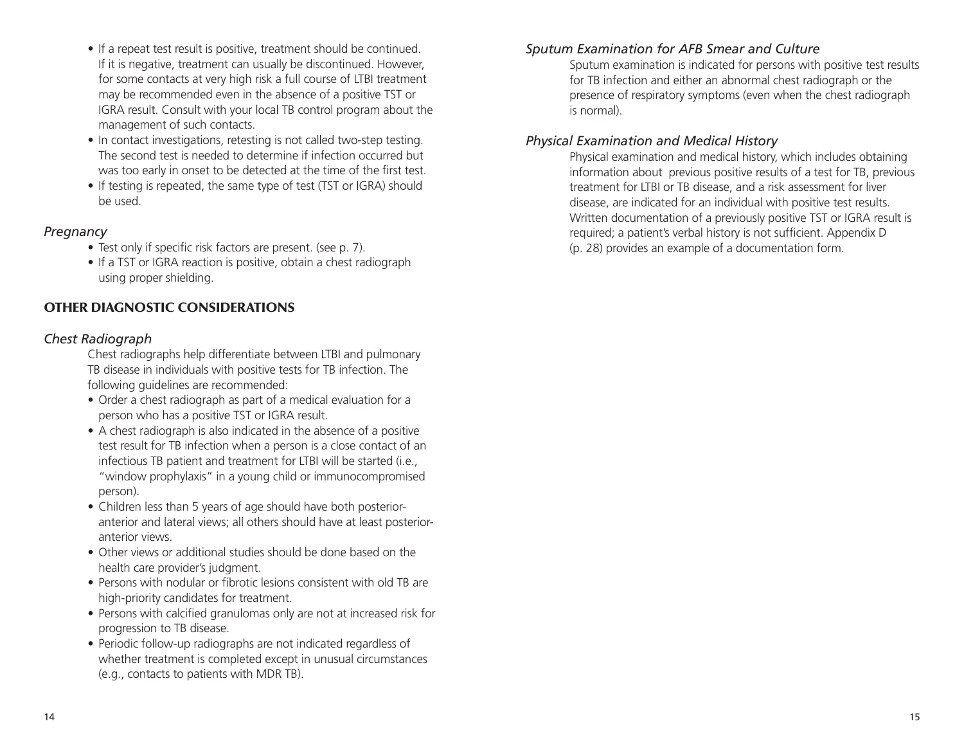- If a repeat test result is positive, treatment should be continued. If it is negative, treatment can usually be discontinued. However, for some contacts at very high risk a full course of LTBI treatment may be recommended even in the absence of a positive TST or IGRA result. Consult with your local TB control program about the management of such contacts.
- In contact investigations, retesting is not called two-step testing. The second test is needed to determine if infection occurred but was too early in onset to be detected at the time of the first test.
- If testing is repeated, the same type of test (TST or IGRA) should be used.

### *Pregnancy*

- Test only if specific risk factors are present. (see p. 7).
- If a TST or IGRA reaction is positive, obtain a chest radiograph using proper shielding.

### Other Diagnostic Considerations

### *Chest Radiograph*

Chest radiographs help differentiate between LTBI and pulmonary TB disease in individuals with positive tests for TB infection. The following guidelines are recommended:

- Order a chest radiograph as part of a medical evaluation for a person who has a positive TST or IGRA result.
- A chest radiograph is also indicated in the absence of a positive test result for TB infection when a person is a close contact of an infectious TB patient and treatment for LTBI will be started (i.e., "window prophylaxis" in a young child or immunocompromised person).
- Children less than 5 years of age should have both posterioranterior and lateral views; all others should have at least posterioranterior views.
- Other views or additional studies should be done based on the health care provider's judgment.
- Persons with nodular or fibrotic lesions consistent with old TB are high-priority candidates for treatment.
- Persons with calcified granulomas only are not at increased risk for progression to TB disease.
- Periodic follow-up radiographs are not indicated regardless of whether treatment is completed except in unusual circumstances (e.g., contacts to patients with MDR TB).

### *Sputum Examination for AFB Smear and Culture*

Sputum examination is indicated for persons with positive test results for TB infection and either an abnormal chest radiograph or the presence of respiratory symptoms (even when the chest radiograph is normal).

### *Physical Examination and Medical History*

Physical examination and medical history, which includes obtaining information about previous positive results of a test for TB, previous treatment for LTBI or TB disease, and a risk assessment for liver disease, are indicated for an individual with positive test results. Written documentation of a previously positive TST or IGRA result is required; a patient's verbal history is not sufficient. Appendix D (p. 28) provides an example of a documentation form.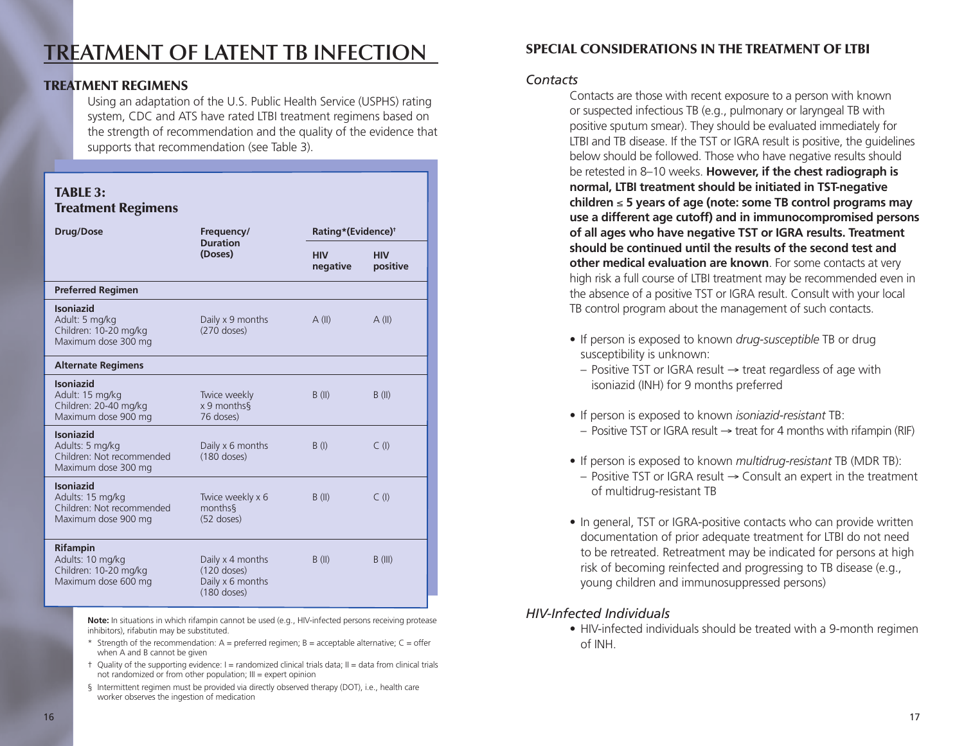## **Treatment of Latent TB Infection**

### Treatment Regimens

Using an adaptation of the U.S. Public Health Service (USPHS) rating system, CDC and ATS have rated LTBI treatment regimens based on the strength of recommendation and the quality of the evidence that supports that recommendation (see Table 3).

| <b>TABLE 3:</b><br><b>Treatment Regimens</b>                                             |                                                                        |                        |                                |  |  |
|------------------------------------------------------------------------------------------|------------------------------------------------------------------------|------------------------|--------------------------------|--|--|
| <b>Drug/Dose</b>                                                                         | Frequency/                                                             |                        | Rating*(Evidence) <sup>†</sup> |  |  |
|                                                                                          | <b>Duration</b><br>(Doses)                                             | <b>HIV</b><br>negative | <b>HIV</b><br>positive         |  |  |
| <b>Preferred Regimen</b>                                                                 |                                                                        |                        |                                |  |  |
| <b>Isoniazid</b><br>Adult: 5 mg/kg<br>Children: 10-20 mg/kg<br>Maximum dose 300 mg       | Daily x 9 months<br>$(270$ doses)                                      | A(II)                  | A(II)                          |  |  |
| <b>Alternate Regimens</b>                                                                |                                                                        |                        |                                |  |  |
| <b>Isoniazid</b><br>Adult: 15 mg/kg<br>Children: 20-40 mg/kg<br>Maximum dose 900 mg      | Twice weekly<br>x 9 months<br>76 doses)                                | B(II)                  | B(II)                          |  |  |
| <b>Isoniazid</b><br>Adults: 5 mg/kg<br>Children: Not recommended<br>Maximum dose 300 mg  | Daily x 6 months<br>$(180$ doses)                                      | B(1)                   | C(1)                           |  |  |
| <b>Isoniazid</b><br>Adults: 15 mg/kg<br>Children: Not recommended<br>Maximum dose 900 mg | Twice weekly x 6<br>months <sup>§</sup><br>$(52$ doses)                | B(II)                  | $C$ (I)                        |  |  |
| <b>Rifampin</b><br>Adults: 10 mg/kg<br>Children: 10-20 mg/kg<br>Maximum dose 600 mg      | Daily x 4 months<br>$(120$ doses)<br>Daily x 6 months<br>$(180$ doses) | B(II)                  | $B$ (III)                      |  |  |

**Note:** In situations in which rifampin cannot be used (e.g., HIV-infected persons receiving protease inhibitors), rifabutin may be substituted.

- \* Strength of the recommendation:  $A =$  preferred regimen;  $B =$  acceptable alternative;  $C =$  offer when A and B cannot be given
- † Quality of the supporting evidence: I = randomized clinical trials data; II = data from clinical trials not randomized or from other population; III = expert opinion
- § Intermittent regimen must be provided via directly observed therapy (DOT), i.e., health care worker observes the ingestion of medication

### Special Considerations in the Treatment of LTBI

### *Contacts*

Contacts are those with recent exposure to a person with known or suspected infectious TB (e.g., pulmonary or laryngeal TB with positive sputum smear). They should be evaluated immediately for LTBI and TB disease. If the TST or IGRA result is positive, the guidelines below should be followed. Those who have negative results should be retested in 8–10 weeks. **However, if the chest radiograph is normal, LTBI treatment should be initiated in TST-negative children** ≤ **5 years of age (note: some TB control programs may use a different age cutoff) and in immunocompromised persons of all ages who have negative TST or IGRA results. Treatment should be continued until the results of the second test and other medical evaluation are known**. For some contacts at very high risk a full course of LTBI treatment may be recommended even in the absence of a positive TST or IGRA result. Consult with your local TB control program about the management of such contacts.

- If person is exposed to known *drug-susceptible* TB or drug susceptibility is unknown:
- Positive TST or IGRA result → treat regardless of age with isoniazid (INH) for 9 months preferred
- • If person is exposed to known *isoniazid-resistant* TB:
- Positive TST or IGRA result  $→$  treat for 4 months with rifampin (RIF)
- If person is exposed to known *multidrug-resistant* TB (MDR TB):
	- Positive TST or IGRA result → Consult an expert in the treatment of multidrug-resistant TB
- In general, TST or IGRA-positive contacts who can provide written documentation of prior adequate treatment for LTBI do not need to be retreated. Retreatment may be indicated for persons at high risk of becoming reinfected and progressing to TB disease (e.g., young children and immunosuppressed persons)

### *HIV-Infected Individuals*

• HIV-infected individuals should be treated with a 9-month regimen of INH.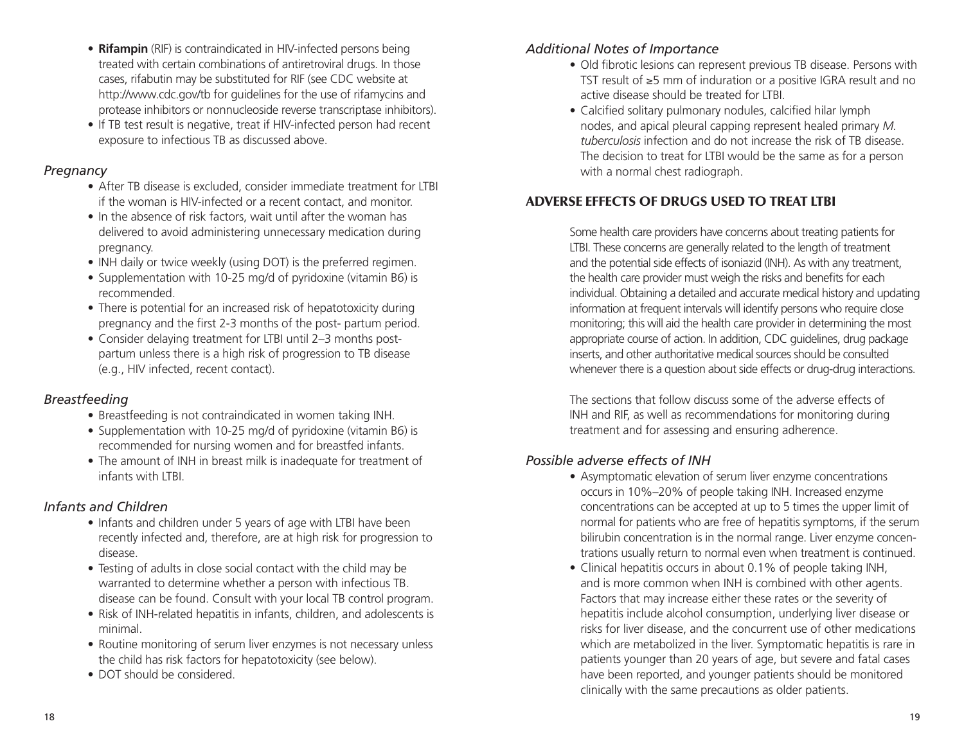- **Rifampin** (RIF) is contraindicated in HIV-infected persons being treated with certain combinations of antiretroviral drugs. In those cases, rifabutin may be substituted for RIF (see CDC website at http://www.cdc.gov/tb for guidelines for the use of rifamycins and protease inhibitors or nonnucleoside reverse transcriptase inhibitors).
- If TB test result is negative, treat if HIV-infected person had recent exposure to infectious TB as discussed above.

### *Pregnancy*

- After TB disease is excluded, consider immediate treatment for LTBI if the woman is HIV-infected or a recent contact, and monitor.
- In the absence of risk factors, wait until after the woman has delivered to avoid administering unnecessary medication during pregnancy.
- INH daily or twice weekly (using DOT) is the preferred regimen.
- Supplementation with 10-25 mg/d of pyridoxine (vitamin B6) is recommended.
- There is potential for an increased risk of hepatotoxicity during pregnancy and the first 2-3 months of the post- partum period.
- Consider delaying treatment for LTBI until 2–3 months postpartum unless there is a high risk of progression to TB disease (e.g., HIV infected, recent contact).

### *Breastfeeding*

- Breastfeeding is not contraindicated in women taking INH.
- Supplementation with 10-25 mg/d of pyridoxine (vitamin B6) is recommended for nursing women and for breastfed infants.
- The amount of INH in breast milk is inadequate for treatment of infants with LTBI.

### *Infants and Children*

- Infants and children under 5 years of age with LTBI have been recently infected and, therefore, are at high risk for progression to disease.
- Testing of adults in close social contact with the child may be warranted to determine whether a person with infectious TB. disease can be found. Consult with your local TB control program.
- Risk of INH-related hepatitis in infants, children, and adolescents is minimal.
- Routine monitoring of serum liver enzymes is not necessary unless the child has risk factors for hepatotoxicity (see below).
- DOT should be considered.

### *Additional Notes of Importance*

- Old fibrotic lesions can represent previous TB disease. Persons with TST result of ≥5 mm of induration or a positive IGRA result and no active disease should be treated for LTBI.
- Calcified solitary pulmonary nodules, calcified hilar lymph nodes, and apical pleural capping represent healed primary *M. tuberculosis* infection and do not increase the risk of TB disease. The decision to treat for LTBI would be the same as for a person with a normal chest radiograph.

### Adverse Effects of Drugs Used to Treat LTBI

Some health care providers have concerns about treating patients for LTBI. These concerns are generally related to the length of treatment and the potential side effects of isoniazid (INH). As with any treatment, the health care provider must weigh the risks and benefits for each individual. Obtaining a detailed and accurate medical history and updating information at frequent intervals will identify persons who require close monitoring; this will aid the health care provider in determining the most appropriate course of action. In addition, CDC guidelines, drug package inserts, and other authoritative medical sources should be consulted whenever there is a question about side effects or drug-drug interactions.

The sections that follow discuss some of the adverse effects of INH and RIF, as well as recommendations for monitoring during treatment and for assessing and ensuring adherence.

### *Possible adverse effects of INH*

- Asymptomatic elevation of serum liver enzyme concentrations occurs in 10%–20% of people taking INH. Increased enzyme concentrations can be accepted at up to 5 times the upper limit of normal for patients who are free of hepatitis symptoms, if the serum bilirubin concentration is in the normal range. Liver enzyme concentrations usually return to normal even when treatment is continued.
- Clinical hepatitis occurs in about 0.1% of people taking INH, and is more common when INH is combined with other agents. Factors that may increase either these rates or the severity of hepatitis include alcohol consumption, underlying liver disease or risks for liver disease, and the concurrent use of other medications which are metabolized in the liver. Symptomatic hepatitis is rare in patients younger than 20 years of age, but severe and fatal cases have been reported, and younger patients should be monitored clinically with the same precautions as older patients.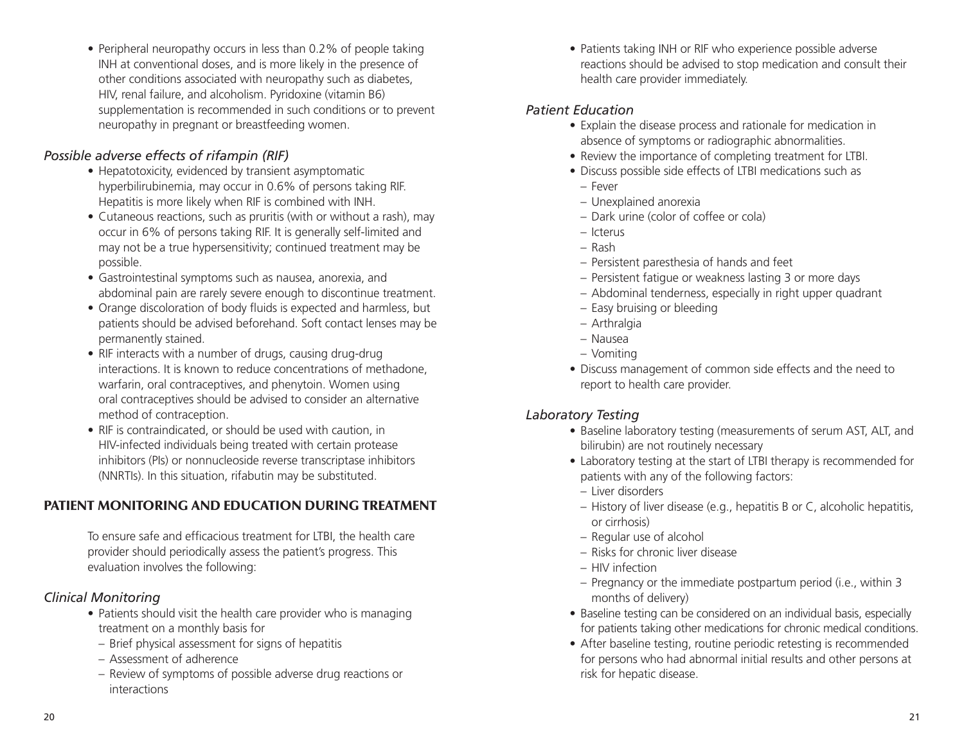• Peripheral neuropathy occurs in less than 0.2% of people taking INH at conventional doses, and is more likely in the presence of other conditions associated with neuropathy such as diabetes, HIV, renal failure, and alcoholism. Pyridoxine (vitamin B6) supplementation is recommended in such conditions or to prevent neuropathy in pregnant or breastfeeding women.

### *Possible adverse effects of rifampin (RIF)*

- Hepatotoxicity, evidenced by transient asymptomatic hyperbilirubinemia, may occur in 0.6% of persons taking RIF. Hepatitis is more likely when RIF is combined with INH.
- Cutaneous reactions, such as pruritis (with or without a rash), may occur in 6% of persons taking RIF. It is generally self-limited and may not be a true hypersensitivity; continued treatment may be possible.
- • Gastrointestinal symptoms such as nausea, anorexia, and abdominal pain are rarely severe enough to discontinue treatment.
- Orange discoloration of body fluids is expected and harmless, but patients should be advised beforehand. Soft contact lenses may be permanently stained.
- RIF interacts with a number of drugs, causing drug-drug interactions. It is known to reduce concentrations of methadone, warfarin, oral contraceptives, and phenytoin. Women using oral contraceptives should be advised to consider an alternative method of contraception.
- RIF is contraindicated, or should be used with caution, in HIV-infected individuals being treated with certain protease inhibitors (PIs) or nonnucleoside reverse transcriptase inhibitors (NNRTIs). In this situation, rifabutin may be substituted.

### Patient Monitoring and Education During Treatment

To ensure safe and efficacious treatment for LTBI, the health care provider should periodically assess the patient's progress. This evaluation involves the following:

### *Clinical Monitoring*

- Patients should visit the health care provider who is managing treatment on a monthly basis for
- Brief physical assessment for signs of hepatitis
- Assessment of adherence
- Review of symptoms of possible adverse drug reactions or interactions

• Patients taking INH or RIF who experience possible adverse reactions should be advised to stop medication and consult their health care provider immediately.

### *Patient Education*

- Explain the disease process and rationale for medication in absence of symptoms or radiographic abnormalities.
- Review the importance of completing treatment for LTBI.
- Discuss possible side effects of LTBI medications such as
- Fever
- Unexplained anorexia
- Dark urine (color of coffee or cola)
- Icterus
- Rash
- Persistent paresthesia of hands and feet
- Persistent fatigue or weakness lasting 3 or more days
- Abdominal tenderness, especially in right upper quadrant
- Easy bruising or bleeding
- Arthralgia
- Nausea
- Vomiting
- Discuss management of common side effects and the need to report to health care provider.

### *Laboratory Testing*

- Baseline laboratory testing (measurements of serum AST, ALT, and bilirubin) are not routinely necessary
- Laboratory testing at the start of LTBI therapy is recommended for patients with any of the following factors:
	- Liver disorders
	- History of liver disease (e.g., hepatitis B or C, alcoholic hepatitis, or cirrhosis)
- Regular use of alcohol
- Risks for chronic liver disease
- HIV infection
- Pregnancy or the immediate postpartum period (i.e., within 3 months of delivery)
- Baseline testing can be considered on an individual basis, especially for patients taking other medications for chronic medical conditions.
- After baseline testing, routine periodic retesting is recommended for persons who had abnormal initial results and other persons at risk for hepatic disease.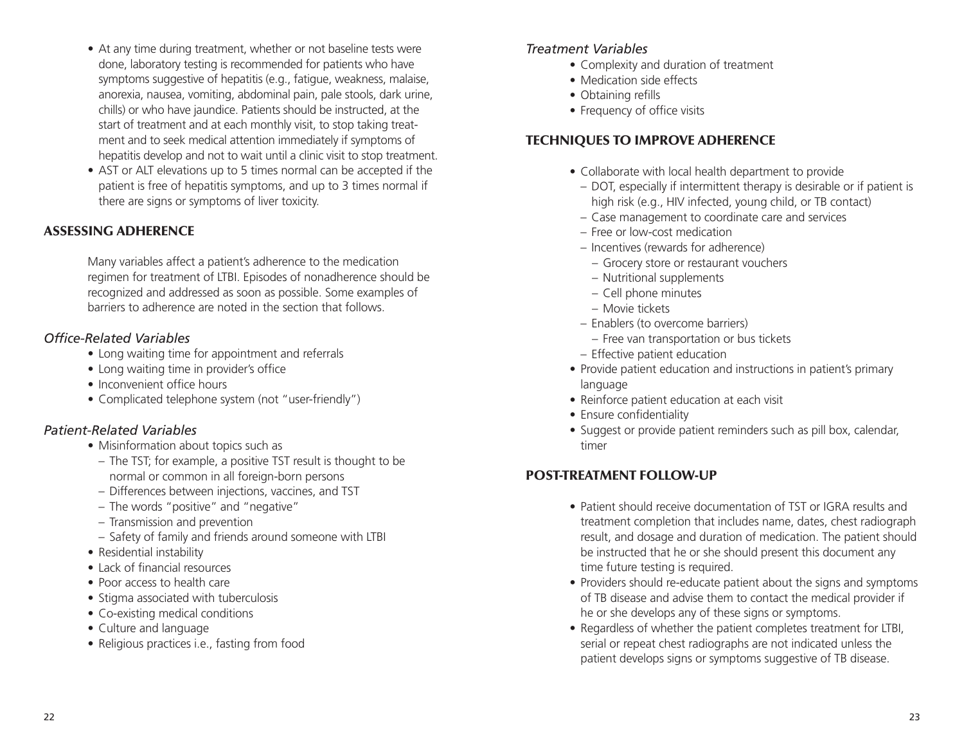- At any time during treatment, whether or not baseline tests were done, laboratory testing is recommended for patients who have symptoms suggestive of hepatitis (e.g., fatigue, weakness, malaise, anorexia, nausea, vomiting, abdominal pain, pale stools, dark urine, chills) or who have jaundice. Patients should be instructed, at the start of treatment and at each monthly visit, to stop taking treatment and to seek medical attention immediately if symptoms of hepatitis develop and not to wait until a clinic visit to stop treatment.
- AST or ALT elevations up to 5 times normal can be accepted if the patient is free of hepatitis symptoms, and up to 3 times normal if there are signs or symptoms of liver toxicity.

### Assessing Adherence

Many variables affect a patient's adherence to the medication regimen for treatment of LTBI. Episodes of nonadherence should be recognized and addressed as soon as possible. Some examples of barriers to adherence are noted in the section that follows.

### *Office-Related Variables*

- Long waiting time for appointment and referrals
- Long waiting time in provider's office
- Inconvenient office hours
- Complicated telephone system (not "user-friendly")

### *Patient-Related Variables*

- Misinformation about topics such as
- The TST; for example, a positive TST result is thought to be normal or common in all foreign-born persons
- Differences between injections, vaccines, and TST
- The words "positive" and "negative"
- Transmission and prevention
- Safety of family and friends around someone with LTBI
- Residential instability
- Lack of financial resources
- Poor access to health care
- Stigma associated with tuberculosis
- Co-existing medical conditions
- • Culture and language
- Religious practices i.e., fasting from food

### *Treatment Variables*

- Complexity and duration of treatment
- Medication side effects
- Obtaining refills
- Frequency of office visits

### Techniques to Improve Adherence

- Collaborate with local health department to provide
- DOT, especially if intermittent therapy is desirable or if patient is high risk (e.g., HIV infected, young child, or TB contact)
- Case management to coordinate care and services
- Free or low-cost medication
- Incentives (rewards for adherence)
	- Grocery store or restaurant vouchers
	- Nutritional supplements
	- Cell phone minutes
- Movie tickets
- Enablers (to overcome barriers)
	- Free van transportation or bus tickets
- Effective patient education
- Provide patient education and instructions in patient's primary language
- Reinforce patient education at each visit
- Ensure confidentiality
- Suggest or provide patient reminders such as pill box, calendar, timer

### Post-Treatment Follow-Up

- Patient should receive documentation of TST or IGRA results and treatment completion that includes name, dates, chest radiograph result, and dosage and duration of medication. The patient should be instructed that he or she should present this document any time future testing is required.
- Providers should re-educate patient about the signs and symptoms of TB disease and advise them to contact the medical provider if he or she develops any of these signs or symptoms.
- Regardless of whether the patient completes treatment for LTBI, serial or repeat chest radiographs are not indicated unless the patient develops signs or symptoms suggestive of TB disease.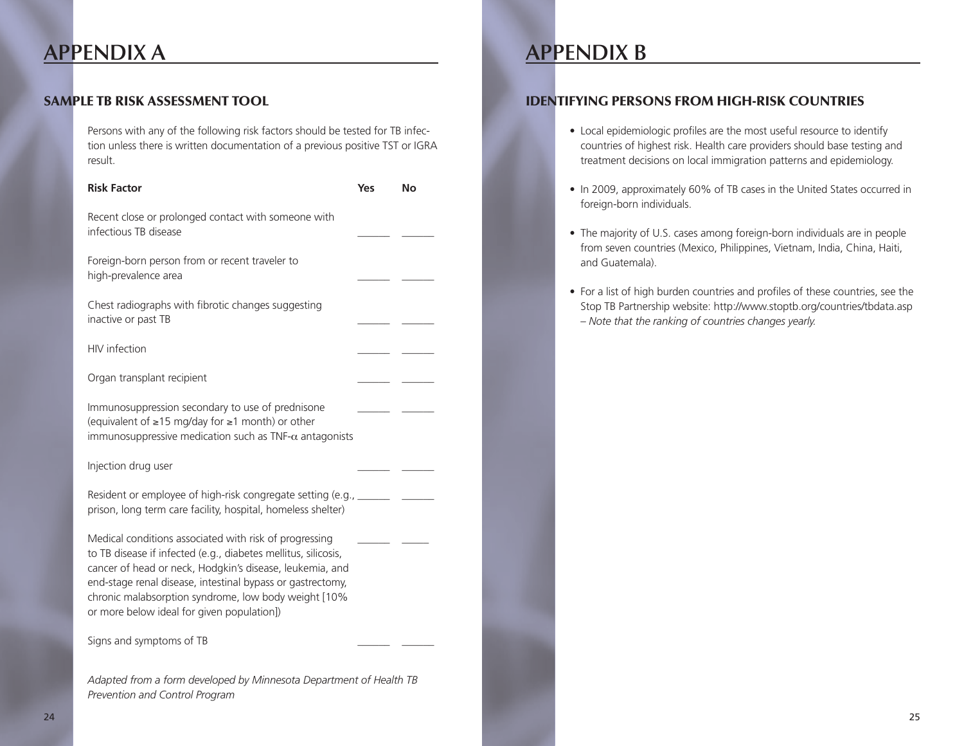### **Appendix A**

### Sample TB Risk Assessment Tool

Persons with any of the following risk factors should be tested for TB infection unless there is written documentation of a previous positive TST or IGRA result.

| <b>Risk Factor</b>                                                                                                                                                                                                                                                                                                                                       | Yes | No |
|----------------------------------------------------------------------------------------------------------------------------------------------------------------------------------------------------------------------------------------------------------------------------------------------------------------------------------------------------------|-----|----|
| Recent close or prolonged contact with someone with<br>infectious TB disease                                                                                                                                                                                                                                                                             |     |    |
| Foreign-born person from or recent traveler to<br>high-prevalence area                                                                                                                                                                                                                                                                                   |     |    |
| Chest radiographs with fibrotic changes suggesting<br>inactive or past TB                                                                                                                                                                                                                                                                                |     |    |
| HIV infection                                                                                                                                                                                                                                                                                                                                            |     |    |
| Organ transplant recipient                                                                                                                                                                                                                                                                                                                               |     |    |
| Immunosuppression secondary to use of prednisone<br>(equivalent of ≥15 mg/day for ≥1 month) or other<br>immunosuppressive medication such as TNF- $\alpha$ antagonists                                                                                                                                                                                   |     |    |
| Injection drug user                                                                                                                                                                                                                                                                                                                                      |     |    |
| Resident or employee of high-risk congregate setting (e.g., _______ _ ______<br>prison, long term care facility, hospital, homeless shelter)                                                                                                                                                                                                             |     |    |
| Medical conditions associated with risk of progressing<br>to TB disease if infected (e.g., diabetes mellitus, silicosis,<br>cancer of head or neck, Hodgkin's disease, leukemia, and<br>end-stage renal disease, intestinal bypass or gastrectomy,<br>chronic malabsorption syndrome, low body weight [10%<br>or more below ideal for given population]) |     |    |
| Signs and symptoms of TB                                                                                                                                                                                                                                                                                                                                 |     |    |
| Adapted from a form developed by Minnesota Department of Health TB<br>Prevention and Control Program                                                                                                                                                                                                                                                     |     |    |

### **Appendix B**

### Identifying Persons from High-Risk Countries

- Local epidemiologic profiles are the most useful resource to identify countries of highest risk. Health care providers should base testing and treatment decisions on local immigration patterns and epidemiology.
- In 2009, approximately 60% of TB cases in the United States occurred in foreign-born individuals.
- The majority of U.S. cases among foreign-born individuals are in people from seven countries (Mexico, Philippines, Vietnam, India, China, Haiti, and Guatemala).
- For a list of high burden countries and profiles of these countries, see the Stop TB Partnership website: http://www.stoptb.org/countries/tbdata.asp – *Note that the ranking of countries changes yearly.*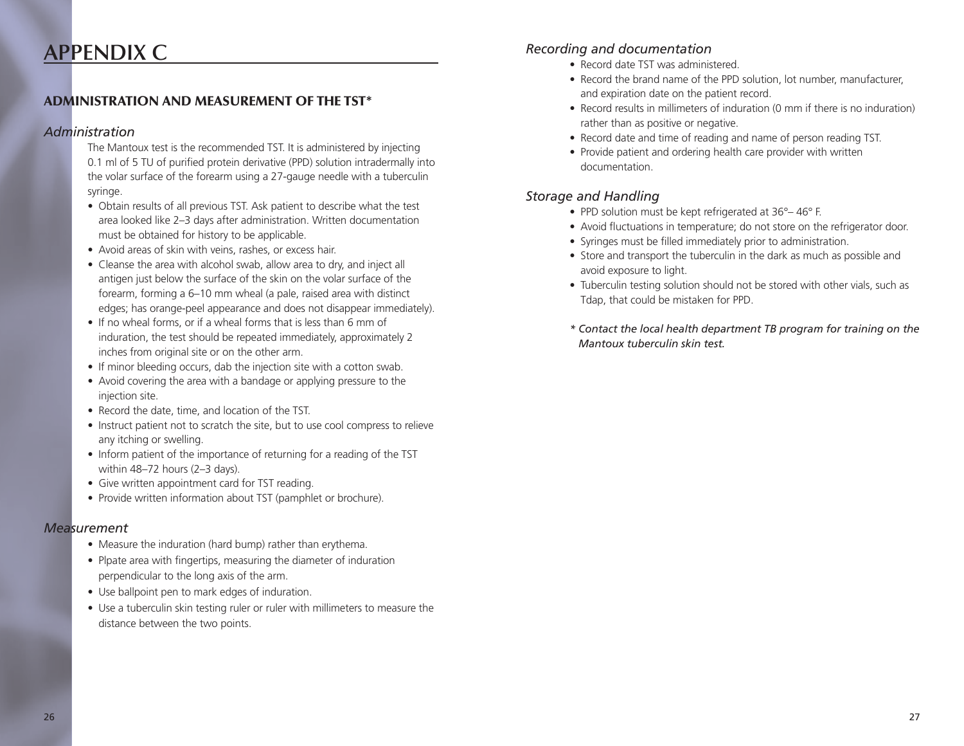### **Appendix C**

### Administration and Measurement of the TST\*

#### *Administration*

The Mantoux test is the recommended TST. It is administered by injecting 0.1 ml of 5 TU of purified protein derivative (PPD) solution intradermally into the volar surface of the forearm using a 27-gauge needle with a tuberculin syringe.

- Obtain results of all previous TST. Ask patient to describe what the test area looked like 2–3 days after administration. Written documentation must be obtained for history to be applicable.
- Avoid areas of skin with veins, rashes, or excess hair.
- Cleanse the area with alcohol swab, allow area to dry, and inject all antigen just below the surface of the skin on the volar surface of the forearm, forming a 6–10 mm wheal (a pale, raised area with distinct edges; has orange-peel appearance and does not disappear immediately).
- If no wheal forms, or if a wheal forms that is less than 6 mm of induration, the test should be repeated immediately, approximately 2 inches from original site or on the other arm.
- If minor bleeding occurs, dab the injection site with a cotton swab.
- Avoid covering the area with a bandage or applying pressure to the injection site.
- Record the date, time, and location of the TST.
- Instruct patient not to scratch the site, but to use cool compress to relieve any itching or swelling.
- Inform patient of the importance of returning for a reading of the TST within 48–72 hours (2–3 days).
- Give written appointment card for TST reading.
- Provide written information about TST (pamphlet or brochure).

#### *Measurement*

- Measure the induration (hard bump) rather than erythema.
- Plpate area with fingertips, measuring the diameter of induration perpendicular to the long axis of the arm.
- Use ballpoint pen to mark edges of induration.
- Use a tuberculin skin testing ruler or ruler with millimeters to measure the distance between the two points.

### *Recording and documentation*

- Record date TST was administered.
- Record the brand name of the PPD solution, lot number, manufacturer, and expiration date on the patient record.
- Record results in millimeters of induration (0 mm if there is no induration) rather than as positive or negative.
- Record date and time of reading and name of person reading TST.
- Provide patient and ordering health care provider with written documentation.

#### *Storage and Handling*

- PPD solution must be kept refrigerated at 36°–46° F.
- Avoid fluctuations in temperature; do not store on the refrigerator door.
- Syringes must be filled immediately prior to administration.
- Store and transport the tuberculin in the dark as much as possible and avoid exposure to light.
- Tuberculin testing solution should not be stored with other vials, such as Tdap, that could be mistaken for PPD.
- *\* Contact the local health department TB program for training on the Mantoux tuberculin skin test.*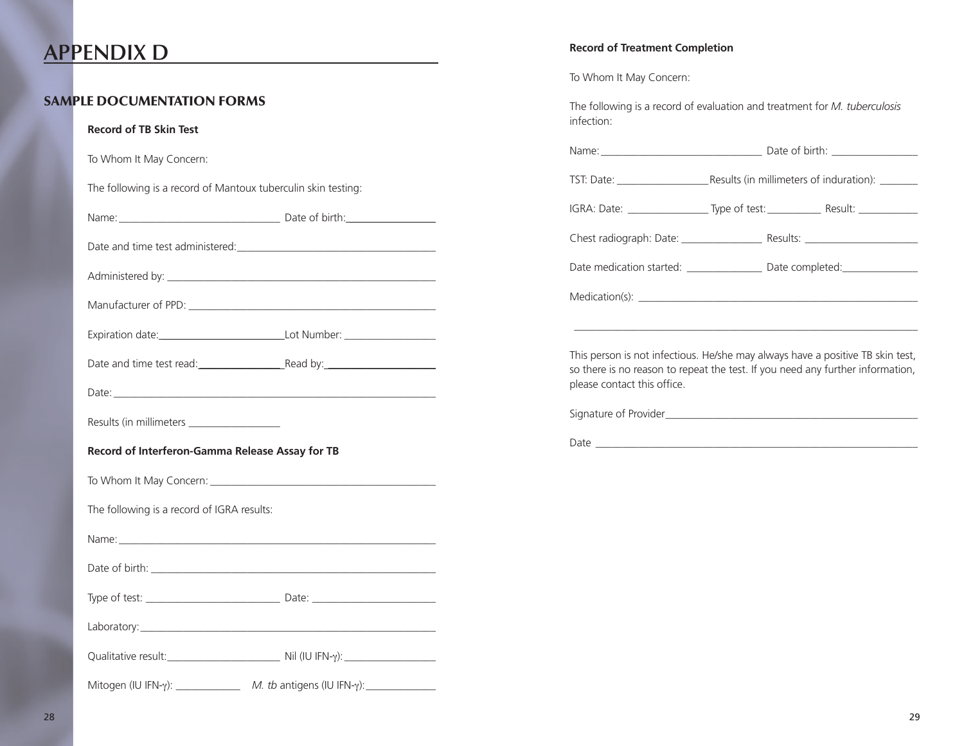### **Appendix D**

### Sample Documentation FORMS

#### **Record of TB Skin Test**

To Whom It May Concern:

The following is a record of Mantoux tuberculin skin testing:

| Name: | Date of birth: |
|-------|----------------|
|       |                |

Date and time test administered:

Administered by: \_\_\_\_\_\_\_\_\_\_\_\_\_\_\_\_\_\_\_\_\_\_\_\_\_\_\_\_\_\_\_\_\_\_\_\_\_\_\_\_\_\_\_\_\_\_\_\_\_\_

Manufacturer of PPD:

| Expiration date: | Lot Number: |  |
|------------------|-------------|--|
|                  |             |  |

| Date and time test read: | Read by: |
|--------------------------|----------|
|--------------------------|----------|

Date:

Results (in millimeters

#### **Record of Interferon-Gamma Release Assay for TB**

To Whom It May Concern: \_\_\_\_\_\_\_\_\_\_\_\_\_\_\_\_\_\_\_\_\_\_\_\_\_\_\_\_\_\_\_\_\_\_\_\_\_\_\_\_\_\_

The following is a record of IGRA results:

Name:\_\_\_\_\_\_\_\_\_\_\_\_\_\_\_\_\_\_\_\_\_\_\_\_\_\_\_\_\_\_\_\_\_\_\_\_\_\_\_\_\_\_\_\_\_\_\_\_\_\_\_\_\_\_\_\_\_\_\_

Date of birth:

Type of test: \_\_\_\_\_\_\_\_\_\_\_\_\_\_\_\_\_\_\_\_\_\_\_\_\_ Date: \_\_\_\_\_\_\_\_\_\_\_\_\_\_\_\_\_\_\_\_\_\_\_

|--|

| Qualitative result: | Nil (IU IFN- $\gamma$ ): |
|---------------------|--------------------------|
|                     |                          |

Mitogen (IU IFN-γ): \_\_\_\_\_\_\_\_\_\_\_\_\_\_\_ *M. tb* antigens (IU IFN-γ): \_\_\_\_\_\_\_\_\_\_\_\_\_\_\_

### **Record of Treatment Completion**

To Whom It May Concern:

The following is a record of evaluation and treatment for *M. tuberculosis* infection:

| Date medication started: _________________________________Date completed: __________________________                                                                                            |  |  |  |
|-------------------------------------------------------------------------------------------------------------------------------------------------------------------------------------------------|--|--|--|
|                                                                                                                                                                                                 |  |  |  |
|                                                                                                                                                                                                 |  |  |  |
| This person is not infectious. He/she may always have a positive TB skin test,<br>so there is no reason to repeat the test. If you need any further information,<br>please contact this office. |  |  |  |
|                                                                                                                                                                                                 |  |  |  |
|                                                                                                                                                                                                 |  |  |  |
|                                                                                                                                                                                                 |  |  |  |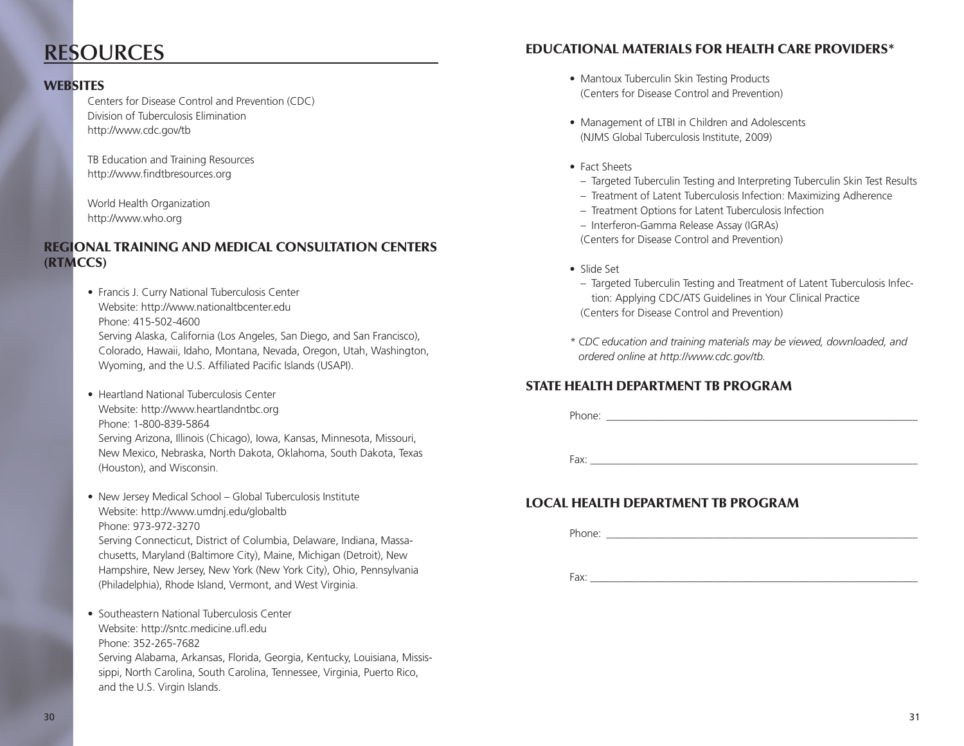### **Resources**

### **WEBSITES**

Centers for Disease Control and Prevention (CDC) Division of Tuberculosis Elimination http://www.cdc.gov/tb

TB Education and Training Resources http://www.findtbresources.org

World Health Organization http://www.who.org

### Regional Training and Medical Consultation Centers (RTMCCs)

- Francis J. Curry National Tuberculosis Center Website: http://www.nationaltbcenter.edu Phone: 415-502-4600 Serving Alaska, California (Los Angeles, San Diego, and San Francisco), Colorado, Hawaii, Idaho, Montana, Nevada, Oregon, Utah, Washington, Wyoming, and the U.S. Affiliated Pacific Islands (USAPI).
- Heartland National Tuberculosis Center Website: http://www.heartlandntbc.org Phone: 1-800-839-5864 Serving Arizona, Illinois (Chicago), Iowa, Kansas, Minnesota, Missouri, New Mexico, Nebraska, North Dakota, Oklahoma, South Dakota, Texas (Houston), and Wisconsin.
- New Jersey Medical School Global Tuberculosis Institute Website: http://www.umdnj.edu/globaltb Phone: 973-972-3270 Serving Connecticut, District of Columbia, Delaware, Indiana, Massachusetts, Maryland (Baltimore City), Maine, Michigan (Detroit), New Hampshire, New Jersey, New York (New York City), Ohio, Pennsylvania
- (Philadelphia), Rhode Island, Vermont, and West Virginia. • Southeastern National Tuberculosis Center Website: http://sntc.medicine.ufl.edu Phone: 352-265-7682 Serving Alabama, Arkansas, Florida, Georgia, Kentucky, Louisiana, Mississippi, North Carolina, South Carolina, Tennessee, Virginia, Puerto Rico, and the U.S. Virgin Islands.

### Educational Materials for Health Care Providers\*

- Mantoux Tuberculin Skin Testing Products (Centers for Disease Control and Prevention)
- Management of LTBI in Children and Adolescents (NJMS Global Tuberculosis Institute, 2009)
- Fact Sheets
- Targeted Tuberculin Testing and Interpreting Tuberculin Skin Test Results
- Treatment of Latent Tuberculosis Infection: Maximizing Adherence
- Treatment Options for Latent Tuberculosis Infection
- Interferon-Gamma Release Assay (IGRAs)

(Centers for Disease Control and Prevention)

- Slide Set
	- Targeted Tuberculin Testing and Treatment of Latent Tuberculosis Infection: Applying CDC/ATS Guidelines in Your Clinical Practice (Centers for Disease Control and Prevention)
- *\* CDC education and training materials may be viewed, downloaded, and ordered online at http://www.cdc.gov/tb.*

### State Health Department TB Program

Phone:

Fax: \_\_\_\_\_\_\_\_\_\_\_\_\_\_\_\_\_\_\_\_\_\_\_\_\_\_\_\_\_\_\_\_\_\_\_\_\_\_\_\_\_\_\_\_\_\_\_\_\_\_\_\_\_\_\_\_\_\_\_\_\_

### Local Health Department TB Program

Phone:  $\blacksquare$ 

Fax: \_\_\_\_\_\_\_\_\_\_\_\_\_\_\_\_\_\_\_\_\_\_\_\_\_\_\_\_\_\_\_\_\_\_\_\_\_\_\_\_\_\_\_\_\_\_\_\_\_\_\_\_\_\_\_\_\_\_\_\_\_